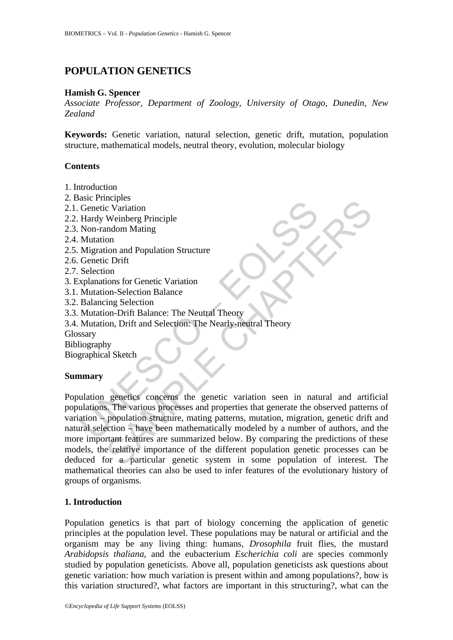# **POPULATION GENETICS**

### **Hamish G. Spencer**

*Associate Professor, Department of Zoology, University of Otago, Dunedin, New Zealand*

**Keywords:** Genetic variation, natural selection, genetic drift, mutation, population structure, mathematical models, neutral theory, evolution, molecular biology

## **Contents**

- 1. Introduction
- 2. Basic Principles
- 2.1. Genetic Variation
- 2.2. Hardy Weinberg Principle
- 2.3. Non-random Mating
- 2.4. Mutation
- 2.5. Migration and Population Structure
- 2.6. Genetic Drift
- 2.7. Selection
- 3. Explanations for Genetic Variation
- 3.1. Mutation-Selection Balance
- 3.2. Balancing Selection
- 3.3. Mutation-Drift Balance: The Neutral Theory
- 3.4. Mutation, Drift and Selection: The Nearly-neutral Theory
- Glossary

Bibliography

Biographical Sketch

#### **Summary**

Conetic Variation<br>
Hardy Weinberg Principle<br>
Non-random Mating<br>
Mutation<br>
Mutation and Population Structure<br>
Megration and Population Structure<br>
Genetic Drift<br>
Selection<br>
Selection<br>
Selection<br>
Mutation-Selection Balance<br>
B Experiment<br>
Containion<br>
Weinberg Principle<br>
andom Mating<br>
on and Population Structure<br>
consistence Chrift<br>
consistence Chrift<br>
consistence Chrift<br>
consistence Chrift<br>
consistence Chrift<br>
consistence Chrift<br>
consistence Chr Population genetics concerns the genetic variation seen in natural and artificial populations. The various processes and properties that generate the observed patterns of variation – population structure, mating patterns, mutation, migration, genetic drift and natural selection – have been mathematically modeled by a number of authors, and the more important features are summarized below. By comparing the predictions of these models, the relative importance of the different population genetic processes can be deduced for a particular genetic system in some population of interest. The mathematical theories can also be used to infer features of the evolutionary history of groups of organisms.

#### **1. Introduction**

Population genetics is that part of biology concerning the application of genetic principles at the population level. These populations may be natural or artificial and the organism may be any living thing: humans, *Drosophila* fruit flies, the mustard *Arabidopsis thaliana*, and the eubacterium *Escherichia coli* are species commonly studied by population geneticists. Above all, population geneticists ask questions about genetic variation: how much variation is present within and among populations?, how is this variation structured?, what factors are important in this structuring?, what can the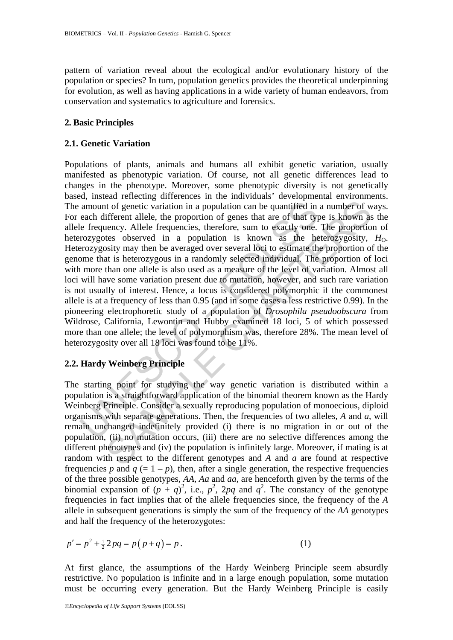pattern of variation reveal about the ecological and/or evolutionary history of the population or species? In turn, population genetics provides the theoretical underpinning for evolution, as well as having applications in a wide variety of human endeavors, from conservation and systematics to agriculture and forensics.

#### **2. Basic Principles**

#### **2.1. Genetic Variation**

amount of genetic variation in a population can be quantified in<br>each different allele, the proportion of genes that are of that type<br>frequency. Allele frequencies, therefore, sum to exactly one.<br>rozygotes observed in a p is the figure of genetic variation in a population can be quantified in a number of wifferent allele, the proportion of genes that are of that type is known as ifferent allele, the proportion of genes that are of that typ Populations of plants, animals and humans all exhibit genetic variation, usually manifested as phenotypic variation. Of course, not all genetic differences lead to changes in the phenotype. Moreover, some phenotypic diversity is not genetically based, instead reflecting differences in the individuals' developmental environments. The amount of genetic variation in a population can be quantified in a number of ways. For each different allele, the proportion of genes that are of that type is known as the allele frequency. Allele frequencies, therefore, sum to exactly one. The proportion of heterozygotes observed in a population is known as the heterozygosity,  $H_0$ . Heterozygosity may then be averaged over several loci to estimate the proportion of the genome that is heterozygous in a randomly selected individual. The proportion of loci with more than one allele is also used as a measure of the level of variation. Almost all loci will have some variation present due to mutation, however, and such rare variation is not usually of interest. Hence, a locus is considered polymorphic if the commonest allele is at a frequency of less than 0.95 (and in some cases a less restrictive 0.99). In the pioneering electrophoretic study of a population of *Drosophila pseudoobscura* from Wildrose, California, Lewontin and Hubby examined 18 loci, 5 of which possessed more than one allele; the level of polymorphism was, therefore 28%. The mean level of heterozygosity over all 18 loci was found to be 11%.

#### **2.2. Hardy Weinberg Principle**

The starting point for studying the way genetic variation is distributed within a population is a straightforward application of the binomial theorem known as the Hardy Weinberg Principle. Consider a sexually reproducing population of monoecious, diploid organisms with separate generations. Then, the frequencies of two alleles, *A* and *a*, will remain unchanged indefinitely provided (i) there is no migration in or out of the population, (ii) no mutation occurs, (iii) there are no selective differences among the different phenotypes and (iv) the population is infinitely large. Moreover, if mating is at random with respect to the different genotypes and *A* and *a* are found at respective frequencies *p* and  $q (= 1 - p)$ , then, after a single generation, the respective frequencies of the three possible genotypes, *AA*, *Aa* and *aa*, are henceforth given by the terms of the binomial expansion of  $(p + q)^2$ , i.e.,  $p^2$ , 2pq and  $q^2$ . The constancy of the genotype frequencies in fact implies that of the allele frequencies since, the frequency of the *A* allele in subsequent generations is simply the sum of the frequency of the *AA* genotypes and half the frequency of the heterozygotes:

$$
p' = p^2 + \frac{1}{2} 2pq = p(p+q) = p.
$$
 (1)

At first glance, the assumptions of the Hardy Weinberg Principle seem absurdly restrictive. No population is infinite and in a large enough population, some mutation must be occurring every generation. But the Hardy Weinberg Principle is easily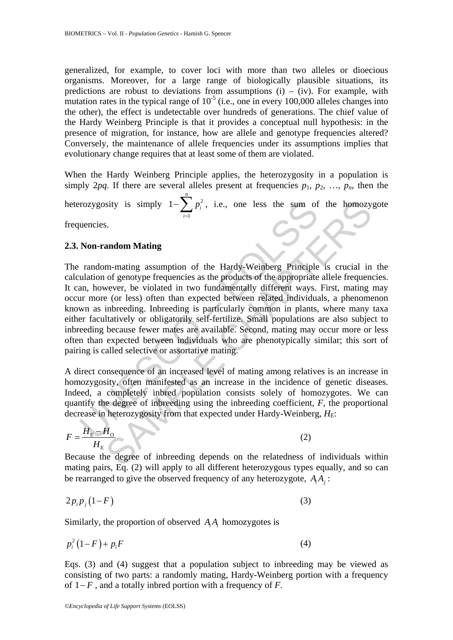generalized, for example, to cover loci with more than two alleles or dioecious organisms. Moreover, for a large range of biologically plausible situations, its predictions are robust to deviations from assumptions  $(i) - (iv)$ . For example, with mutation rates in the typical range of  $10^{-5}$  (i.e., one in every 100,000 alleles changes into the other), the effect is undetectable over hundreds of generations. The chief value of the Hardy Weinberg Principle is that it provides a conceptual null hypothesis: in the presence of migration, for instance, how are allele and genotype frequencies altered? Conversely, the maintenance of allele frequencies under its assumptions implies that evolutionary change requires that at least some of them are violated.

When the Hardy Weinberg Principle applies, the heterozygosity in a population is simply 2*pq*. If there are several alleles present at frequencies  $p_1, p_2, ..., p_n$ , then the

heterozygosity is simply  $1-\sum p_i^2$ 1 1 *n i i p*  $-\sum_{i=1}^{n} p_i^2$ , i.e., one less the sum of the homozygote

frequencies.

#### **2.3. Non-random Mating**

rozygosity is simply  $1-\sum_{i=1} p_i^2$ , i.e., one less the sum of<br>uencies.<br>Non-random Mating<br>random-mating assumption of the Hardy-Weinberg Principle<br>ulation of genotype frequencies as the products of the appropriate<br>ann, ho sity is simply  $1-\sum_{i=1}^n p_i^2$ , i.e., one less the sum of the homozy,<br>s.<br><br>
s.<br>
andom Mating<br>
m-mating assumption of the Hardy-Weinberg Principle is crucial in<br>
of genotype frequencies as the products of the appropriate a The random-mating assumption of the Hardy-Weinberg Principle is crucial in the calculation of genotype frequencies as the products of the appropriate allele frequencies. It can, however, be violated in two fundamentally different ways. First, mating may occur more (or less) often than expected between related individuals, a phenomenon known as inbreeding. Inbreeding is particularly common in plants, where many taxa either facultatively or obligatorily self-fertilize. Small populations are also subject to inbreeding because fewer mates are available. Second, mating may occur more or less often than expected between individuals who are phenotypically similar; this sort of pairing is called selective or assortative mating.

A direct consequence of an increased level of mating among relatives is an increase in homozygosity, often manifested as an increase in the incidence of genetic diseases. Indeed, a completely inbred population consists solely of homozygotes. We can quantify the degree of inbreeding using the inbreeding coefficient, *F*, the proportional decrease in heterozygosity from that expected under Hardy-Weinberg, *H<sub>F</sub>*:

$$
F = \frac{H_{\rm E} - H_{\rm O}}{H_{\rm E}} \tag{2}
$$

Because the degree of inbreeding depends on the relatedness of individuals within mating pairs,  $\overline{Eq}$ . (2) will apply to all different heterozygous types equally, and so can be rearranged to give the observed frequency of any heterozygote, *A Ai j* :

$$
2p_i p_j (1 - F) \tag{3}
$$

Similarly, the proportion of observed *A<sub>i</sub>A<sub>i</sub>* homozygotes is

$$
p_i^2(1-F) + p_i F \tag{4}
$$

Eqs. (3) and (4) suggest that a population subject to inbreeding may be viewed as consisting of two parts: a randomly mating, Hardy-Weinberg portion with a frequency of 1− *F* , and a totally inbred portion with a frequency of *F*.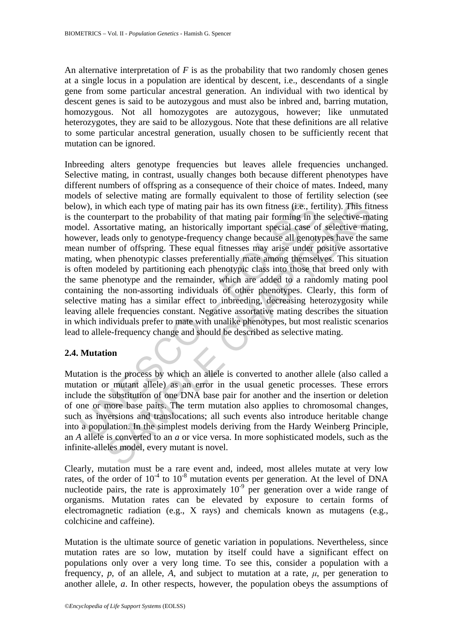An alternative interpretation of  $F$  is as the probability that two randomly chosen genes at a single locus in a population are identical by descent, i.e., descendants of a single gene from some particular ancestral generation. An individual with two identical by descent genes is said to be autozygous and must also be inbred and, barring mutation, homozygous. Not all homozygotes are autozygous, however; like unmutated heterozygotes, they are said to be allozygous. Note that these definitions are all relative to some particular ancestral generation, usually chosen to be sufficiently recent that mutation can be ignored.

w), in which each type of mating pair has its own fitness (i.e., fere counterpart to the probability of that mating pair forming in the econterpart to the probability of that mating pair forming in the lefted. Assortative which each type of mating pair has its own fitness (i.e., fertility). This fit<br>terpart to the probability of that mating pair forming in the selective-mate<br>contrive mating, an inistorically important special case of selec Inbreeding alters genotype frequencies but leaves allele frequencies unchanged. Selective mating, in contrast, usually changes both because different phenotypes have different numbers of offspring as a consequence of their choice of mates. Indeed, many models of selective mating are formally equivalent to those of fertility selection (see below), in which each type of mating pair has its own fitness (i.e., fertility). This fitness is the counterpart to the probability of that mating pair forming in the selective-mating model. Assortative mating, an historically important special case of selective mating, however, leads only to genotype-frequency change because all genotypes have the same mean number of offspring. These equal fitnesses may arise under positive assortative mating, when phenotypic classes preferentially mate among themselves. This situation is often modeled by partitioning each phenotypic class into those that breed only with the same phenotype and the remainder, which are added to a randomly mating pool containing the non-assorting individuals of other phenotypes. Clearly, this form of selective mating has a similar effect to inbreeding, decreasing heterozygosity while leaving allele frequencies constant. Negative assortative mating describes the situation in which individuals prefer to mate with unalike phenotypes, but most realistic scenarios lead to allele-frequency change and should be described as selective mating.

#### **2.4. Mutation**

Mutation is the process by which an allele is converted to another allele (also called a mutation or mutant allele) as an error in the usual genetic processes. These errors include the substitution of one DNA base pair for another and the insertion or deletion of one or more base pairs. The term mutation also applies to chromosomal changes, such as inversions and translocations; all such events also introduce heritable change into a population. In the simplest models deriving from the Hardy Weinberg Principle, an *A* allele is converted to an *a* or vice versa. In more sophisticated models, such as the infinite-alleles model, every mutant is novel.

Clearly, mutation must be a rare event and, indeed, most alleles mutate at very low rates, of the order of  $10^{-4}$  to  $10^{-8}$  mutation events per generation. At the level of DNA nucleotide pairs, the rate is approximately  $10^{-9}$  per generation over a wide range of organisms. Mutation rates can be elevated by exposure to certain forms of electromagnetic radiation (e.g., X rays) and chemicals known as mutagens (e.g., colchicine and caffeine).

Mutation is the ultimate source of genetic variation in populations. Nevertheless, since mutation rates are so low, mutation by itself could have a significant effect on populations only over a very long time. To see this, consider a population with a frequency, *p*, of an allele, *A*, and subject to mutation at a rate,  $\mu$ , per generation to another allele, *a*. In other respects, however, the population obeys the assumptions of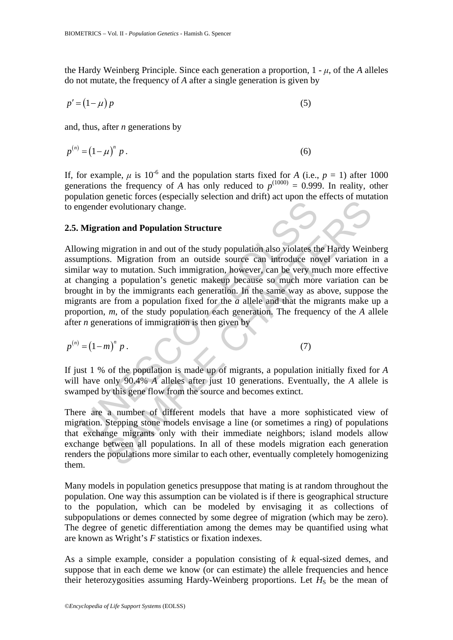the Hardy Weinberg Principle. Since each generation a proportion,  $1 - \mu$ , of the *A* alleles do not mutate, the frequency of *A* after a single generation is given by

$$
p' = (1 - \mu) p \tag{5}
$$

and, thus, after *n* generations by

$$
p^{(n)} = (1 - \mu)^n p . \tag{6}
$$

If, for example,  $\mu$  is 10<sup>-6</sup> and the population starts fixed for *A* (i.e., *p* = 1) after 1000 generations the frequency of *A* has only reduced to  $p^{(1000)} = 0.999$ . In reality, other population genetic forces (especially selection and drift) act upon the effects of mutation to engender evolutionary change.

#### **2.5. Migration and Population Structure**

may alternative manner and out of the study population and becoming migration and Population Structure<br>
wing migration in and out of the study population also violates the<br>
imptions. Migration from an outside source can i expectively change in and out of the study population also violates the Hardy Wein<br>revolutionary change.<br>tion and Population Structure<br>ingration in and out of the study population also violates the Hardy Wein<br>is. Migratio Allowing migration in and out of the study population also violates the Hardy Weinberg assumptions. Migration from an outside source can introduce novel variation in a similar way to mutation. Such immigration, however, can be very much more effective at changing a population's genetic makeup because so much more variation can be brought in by the immigrants each generation. In the same way as above, suppose the migrants are from a population fixed for the *a* allele and that the migrants make up a proportion, *m*, of the study population each generation. The frequency of the *A* allele after *n* generations of immigration is then given by

$$
p^{(n)} = (1 - m)^n p. \tag{7}
$$

If just 1 % of the population is made up of migrants, a population initially fixed for *A* will have only 90.4% *A* alleles after just 10 generations. Eventually, the *A* allele is swamped by this gene flow from the source and becomes extinct.

There are a number of different models that have a more sophisticated view of migration. Stepping stone models envisage a line (or sometimes a ring) of populations that exchange migrants only with their immediate neighbors; island models allow exchange between all populations. In all of these models migration each generation renders the populations more similar to each other, eventually completely homogenizing them.

Many models in population genetics presuppose that mating is at random throughout the population. One way this assumption can be violated is if there is geographical structure to the population, which can be modeled by envisaging it as collections of subpopulations or demes connected by some degree of migration (which may be zero). The degree of genetic differentiation among the demes may be quantified using what are known as Wright's *F* statistics or fixation indexes.

As a simple example, consider a population consisting of *k* equal-sized demes, and suppose that in each deme we know (or can estimate) the allele frequencies and hence their heterozygosities assuming Hardy-Weinberg proportions. Let  $H<sub>S</sub>$  be the mean of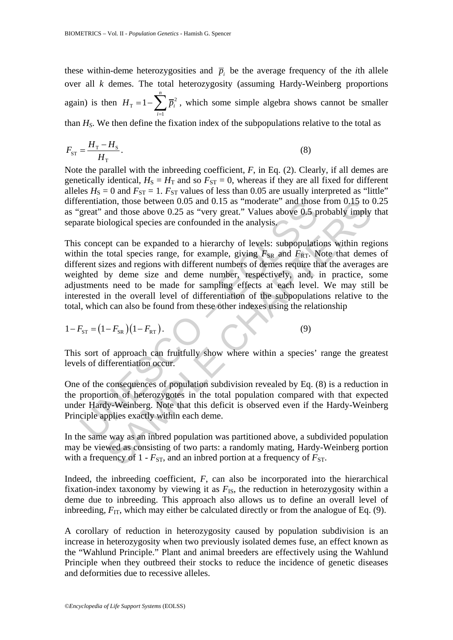these within-deme heterozygosities and  $\bar{p}_i$  be the average frequency of the *i*th allele over all *k* demes. The total heterozygosity (assuming Hardy-Weinberg proportions again) is then  $H_T = 1 - \sum_i \overline{p}_i^2$ 1 *n*  $H<sub>T</sub>$  = 1 -  $\sum \overline{p_i}$ *i*  $= 1 - \sum_{i=1}^{n} \overline{p}_i^2$ , which some simple algebra shows cannot be smaller than *HS*. We then define the fixation index of the subpopulations relative to the total as

$$
F_{\rm ST} = \frac{H_{\rm T} - H_{\rm S}}{H_{\rm T}}.\tag{8}
$$

Note the parallel with the inbreeding coefficient, *F*, in Eq. (2). Clearly, if all demes are genetically identical,  $H_S = H_T$  and so  $F_{ST} = 0$ , whereas if they are all fixed for different alleles  $H_S = 0$  and  $F_{ST} = 1$ .  $F_{ST}$  values of less than 0.05 are usually interpreted as "little" differentiation, those between 0.05 and 0.15 as "moderate" and those from 0.15 to 0.25 as "great" and those above 0.25 as "very great." Values above 0.5 probably imply that separate biological species are confounded in the analysis.

interestival those between 0.05 and 0.15 as "moderate" and those<br>great" and those above 0.25 as "very great." Values above 0.5 p<br>arate biological species are confounded in the analysis.<br>so concept can be expanded to a hie ion, those between 0.05 and 0.15 as "moderate" and those from 0.15 to the and those above 0.25 as "very great." Values above 0.5 probably imply ological species are confounded in the analysis.<br>
pt can be expanded to a hie This concept can be expanded to a hierarchy of levels: subpopulations within regions within the total species range, for example, giving  $F_{SR}$  and  $F_{RT}$ . Note that demes of different sizes and regions with different numbers of demes require that the averages are weighted by deme size and deme number, respectively, and, in practice, some adjustments need to be made for sampling effects at each level. We may still be interested in the overall level of differentiation of the subpopulations relative to the total, which can also be found from these other indexes using the relationship

$$
1 - F_{\rm ST} = (1 - F_{\rm SR}) (1 - F_{\rm RT}). \tag{9}
$$

This sort of approach can fruitfully show where within a species' range the greatest levels of differentiation occur.

One of the consequences of population subdivision revealed by Eq. (8) is a reduction in the proportion of heterozygotes in the total population compared with that expected under Hardy-Weinberg. Note that this deficit is observed even if the Hardy-Weinberg Principle applies exactly within each deme.

In the same way as an inbred population was partitioned above, a subdivided population may be viewed as consisting of two parts: a randomly mating, Hardy-Weinberg portion with a frequency of  $1 - F_{ST}$ , and an inbred portion at a frequency of  $F_{ST}$ .

Indeed, the inbreeding coefficient, *F*, can also be incorporated into the hierarchical fixation-index taxonomy by viewing it as  $F_{\text{IS}}$ , the reduction in heterozygosity within a deme due to inbreeding. This approach also allows us to define an overall level of inbreeding,  $F_{IT}$ , which may either be calculated directly or from the analogue of Eq. (9).

A corollary of reduction in heterozygosity caused by population subdivision is an increase in heterozygosity when two previously isolated demes fuse, an effect known as the "Wahlund Principle." Plant and animal breeders are effectively using the Wahlund Principle when they outbreed their stocks to reduce the incidence of genetic diseases and deformities due to recessive alleles.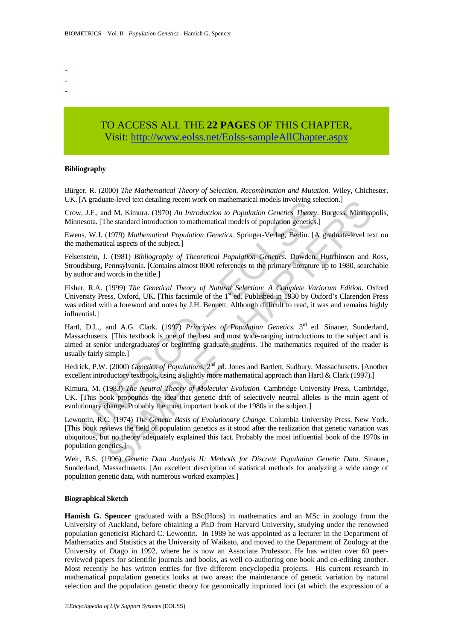- -
- -

## TO ACCESS ALL THE **22 PAGES** OF THIS CHAPTER, Visit[: http://www.eolss.net/Eolss-sampleAllChapter.aspx](https://www.eolss.net/ebooklib/sc_cart.aspx?File=E4-31-05-04)

#### **Bibliography**

Bürger, R. (2000) *The Mathematical Theory of Selection, Recombination and Mutation*. Wiley, Chichester, UK. [A graduate-level text detailing recent work on mathematical models involving selection.]

Crow, J.F., and M. Kimura. (1970) *An Introduction to Population Genetics Theory*. Burgess, Minneapolis, Minnesota. [The standard introduction to mathematical models of population genetics.]

Ewens, W.J. (1979) *Mathematical Population Genetics*. Springer-Verlag, Berlin. [A graduate-level text on the mathematical aspects of the subject.]

Felsenstein, J. (1981) *Bibliography of Theoretical Population Genetics.* Dowden, Hutchinson and Ross, Stroudsburg, Pennsylvania. [Contains almost 8000 references to the primary literature up to 1980, searchable by author and words in the title.]

Fisher, R.A. (1999) *The Genetical Theory of Natural Selection: A Complete Variorum Edition*. Oxford University Press, Oxford, UK. [This facsimile of the  $1<sup>st</sup>$  ed. Published in 1930 by Oxford's Clarendon Press was edited with a foreword and notes by J.H. Bennett. Although difficult to read, it was and remains highly influential.]

[A graduate-level text detaining recent work on inalmentatical models involving set<br>  $v$ , I.F., and M. Kimura. (1970) An Introduction to Population Genetics Theory,<br>
sets. The standard introduction to mathematical models ata-level text detaining recent work on mathematical modes involving selection.]<br>
Al Kimura (1970) An *Introduction to Population Genetics Theory*. Burgess, Minnear<br>
The standard introduction to mathematical models of pop Hartl, D.L., and A.G. Clark. (1997) *Principles of Population Genetics*. 3<sup>rd</sup> ed. Sinauer, Sunderland, Massachusetts. [This textbook is one of the best and most wide-ranging introductions to the subject and is aimed at senior undergraduates or beginning graduate students. The mathematics required of the reader is usually fairly simple.]

Hedrick, P.W. (2000) *Genetics of Populations*. 2<sup>nd</sup> ed. Jones and Bartlett, Sudbury, Massachusetts. [Another excellent introductory textbook, using a slightly more mathematical approach than Hartl & Clark (1997).]

Kimura, M. (1983) *The Neutral Theory of Molecular Evolution.* Cambridge University Press, Cambridge, UK. [This book propounds the idea that genetic drift of selectively neutral alleles is the main agent of evolutionary change. Probably the most important book of the 1980s in the subject.]

Lewontin, R.C. (1974) *The Genetic Basis of Evolutionary Change*. Columbia University Press, New York. [This book reviews the field of population genetics as it stood after the realization that genetic variation was ubiquitous, but no theory adequately explained this fact. Probably the most influential book of the 1970s in population genetics.]

Weir, B.S. (1996) *Genetic Data Analysis II: Methods for Discrete Population Genetic Data*. Sinauer, Sunderland, Massachusetts. [An excellent description of statistical methods for analyzing a wide range of population genetic data, with numerous worked examples.]

#### **Biographical Sketch**

**Hamish G. Spencer** graduated with a BSc(Hons) in mathematics and an MSc in zoology from the University of Auckland, before obtaining a PhD from Harvard University, studying under the renowned population geneticist Richard C. Lewontin. In 1989 he was appointed as a lecturer in the Department of Mathematics and Statistics at the University of Waikato, and moved to the Department of Zoology at the University of Otago in 1992, where he is now an Associate Professor. He has written over 60 peerreviewed papers for scientific journals and books, as well co-authoring one book and co-editing another. Most recently he has written entries for five different encyclopedia projects. His current research in mathematical population genetics looks at two areas: the maintenance of genetic variation by natural selection and the population genetic theory for genomically imprinted loci (at which the expression of a